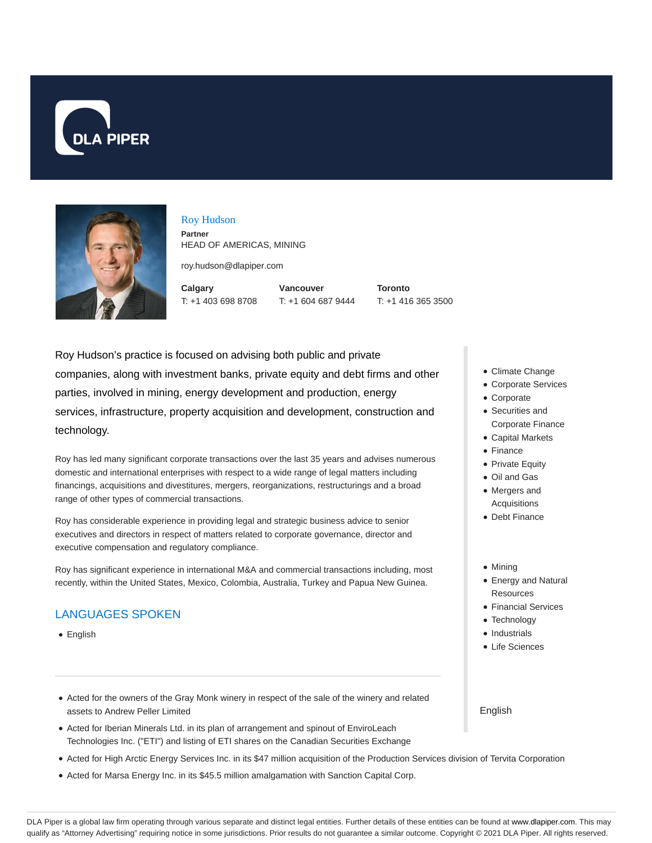



### Roy Hudson

**Partner** HEAD OF AMERICAS, MINING

roy.hudson@dlapiper.com

**Calgary** T: +1 403 698 8708 **Vancouver** T: +1 604 687 9444 **Toronto** T: +1 416 365 3500

Roy Hudson's practice is focused on advising both public and private companies, along with investment banks, private equity and debt firms and other parties, involved in mining, energy development and production, energy services, infrastructure, property acquisition and development, construction and technology.

Roy has led many significant corporate transactions over the last 35 years and advises numerous domestic and international enterprises with respect to a wide range of legal matters including financings, acquisitions and divestitures, mergers, reorganizations, restructurings and a broad range of other types of commercial transactions.

Roy has considerable experience in providing legal and strategic business advice to senior executives and directors in respect of matters related to corporate governance, director and executive compensation and regulatory compliance.

Roy has significant experience in international M&A and commercial transactions including, most recently, within the United States, Mexico, Colombia, Australia, Turkey and Papua New Guinea.

# LANGUAGES SPOKEN

- English
- Acted for the owners of the Gray Monk winery in respect of the sale of the winery and related assets to Andrew Peller Limited
- Acted for Iberian Minerals Ltd. in its plan of arrangement and spinout of EnviroLeach Technologies Inc. ("ETI") and listing of ETI shares on the Canadian Securities Exchange
- Acted for High Arctic Energy Services Inc. in its \$47 million acquisition of the Production Services division of Tervita Corporation
- Acted for Marsa Energy Inc. in its \$45.5 million amalgamation with Sanction Capital Corp.
- Climate Change
- Corporate Services
- Corporate
- Securities and Corporate Finance
- Capital Markets
- Finance
- Private Equity
- Oil and Gas
- Mergers and **Acquisitions**
- Debt Finance
- Mining
- Energy and Natural **Resources**
- Financial Services
- Technology
- Industrials
- Life Sciences

English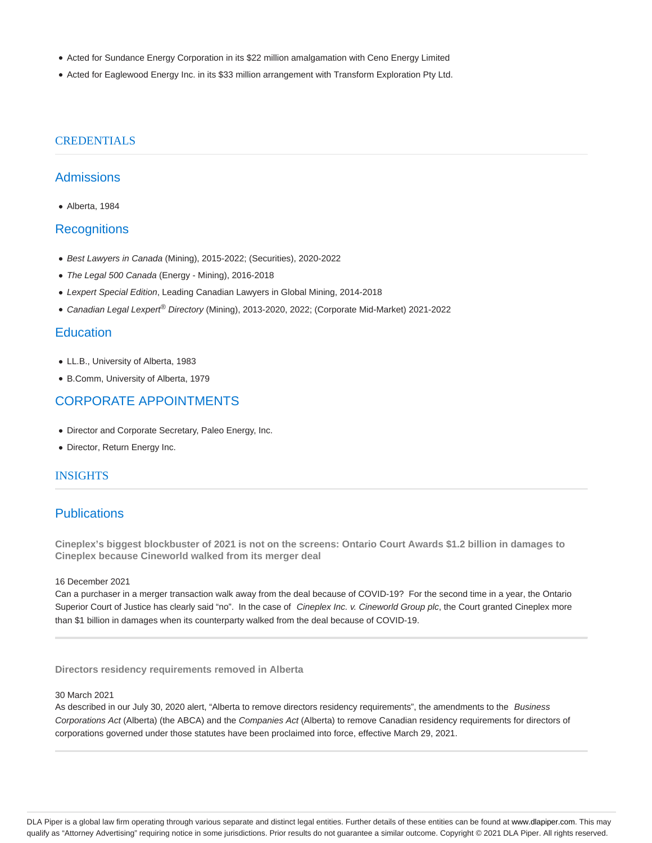- Acted for Sundance Energy Corporation in its \$22 million amalgamation with Ceno Energy Limited
- Acted for Eaglewood Energy Inc. in its \$33 million arrangement with Transform Exploration Pty Ltd.

# **CREDENTIALS**

# **Admissions**

Alberta, 1984

### **Recognitions**

- Best Lawyers in Canada (Mining), 2015-2022; (Securities), 2020-2022
- The Legal 500 Canada (Energy Mining), 2016-2018
- Lexpert Special Edition, Leading Canadian Lawyers in Global Mining, 2014-2018
- Canadian Legal Lexpert<sup>®</sup> Directory (Mining), 2013-2020, 2022; (Corporate Mid-Market) 2021-2022

### **Education**

- LL.B., University of Alberta, 1983
- B.Comm, University of Alberta, 1979

# CORPORATE APPOINTMENTS

- Director and Corporate Secretary, Paleo Energy, Inc.
- Director, Return Energy Inc.

### INSIGHTS

# **Publications**

**Cineplex's biggest blockbuster of 2021 is not on the screens: Ontario Court Awards \$1.2 billion in damages to Cineplex because Cineworld walked from its merger deal**

#### 16 December 2021

Can a purchaser in a merger transaction walk away from the deal because of COVID-19? For the second time in a year, the Ontario Superior Court of Justice has clearly said "no". In the case of Cineplex Inc. v. Cineworld Group plc, the Court granted Cineplex more than \$1 billion in damages when its counterparty walked from the deal because of COVID-19.

**Directors residency requirements removed in Alberta**

#### 30 March 2021

As described in our July 30, 2020 alert, "Alberta to remove directors residency requirements", the amendments to the Business Corporations Act (Alberta) (the ABCA) and the Companies Act (Alberta) to remove Canadian residency requirements for directors of corporations governed under those statutes have been proclaimed into force, effective March 29, 2021.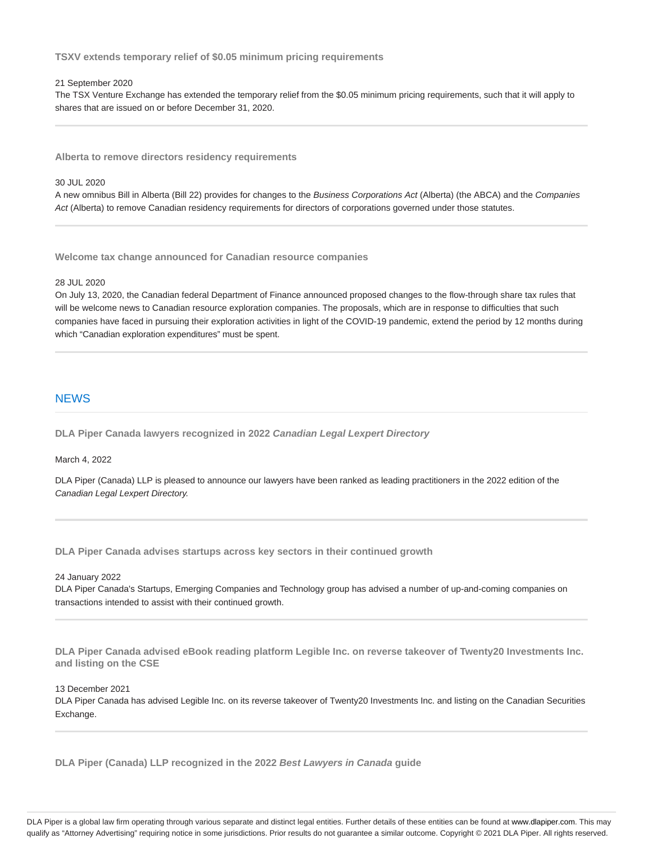**TSXV extends temporary relief of \$0.05 minimum pricing requirements**

#### 21 September 2020

The TSX Venture Exchange has extended the temporary relief from the \$0.05 minimum pricing requirements, such that it will apply to shares that are issued on or before December 31, 2020.

**Alberta to remove directors residency requirements**

#### 30 JUL 2020

A new omnibus Bill in Alberta (Bill 22) provides for changes to the Business Corporations Act (Alberta) (the ABCA) and the Companies Act (Alberta) to remove Canadian residency requirements for directors of corporations governed under those statutes.

**Welcome tax change announced for Canadian resource companies**

#### 28 JUL 2020

On July 13, 2020, the Canadian federal Department of Finance announced proposed changes to the flow-through share tax rules that will be welcome news to Canadian resource exploration companies. The proposals, which are in response to difficulties that such companies have faced in pursuing their exploration activities in light of the COVID-19 pandemic, extend the period by 12 months during which "Canadian exploration expenditures" must be spent.

### **NEWS**

**DLA Piper Canada lawyers recognized in 2022 Canadian Legal Lexpert Directory**

March 4, 2022

DLA Piper (Canada) LLP is pleased to announce our lawyers have been ranked as leading practitioners in the 2022 edition of the Canadian Legal Lexpert Directory.

**DLA Piper Canada advises startups across key sectors in their continued growth**

24 January 2022

DLA Piper Canada's Startups, Emerging Companies and Technology group has advised a number of up-and-coming companies on transactions intended to assist with their continued growth.

**DLA Piper Canada advised eBook reading platform Legible Inc. on reverse takeover of Twenty20 Investments Inc. and listing on the CSE**

13 December 2021

DLA Piper Canada has advised Legible Inc. on its reverse takeover of Twenty20 Investments Inc. and listing on the Canadian Securities Exchange.

**DLA Piper (Canada) LLP recognized in the 2022 Best Lawyers in Canada guide**

DLA Piper is a global law firm operating through various separate and distinct legal entities. Further details of these entities can be found at www.dlapiper.com. This may qualify as "Attorney Advertising" requiring notice in some jurisdictions. Prior results do not guarantee a similar outcome. Copyright @ 2021 DLA Piper. All rights reserved.